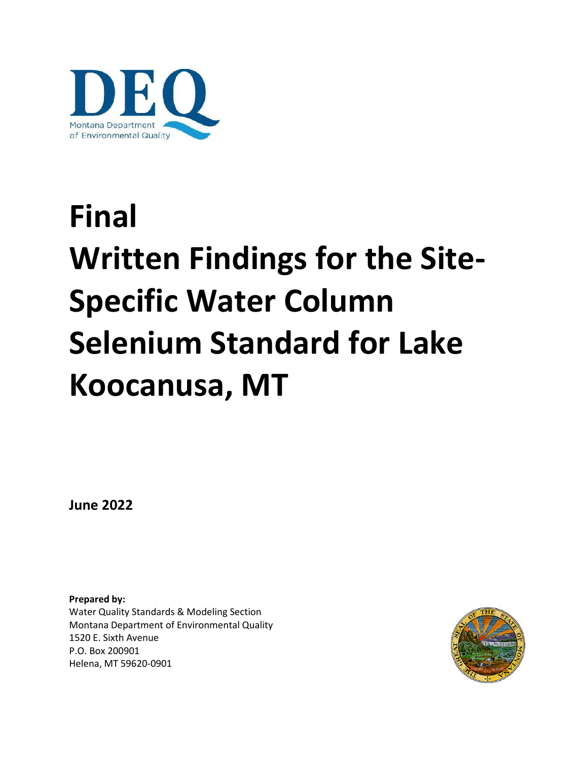

# **Final Written Findings for the Site-Specific Water Column Selenium Standard for Lake Koocanusa, MT**

**June 2022**

**Prepared by:** Water Quality Standards & Modeling Section Montana Department of Environmental Quality 1520 E. Sixth Avenue P.O. Box 200901 Helena, MT 59620-0901

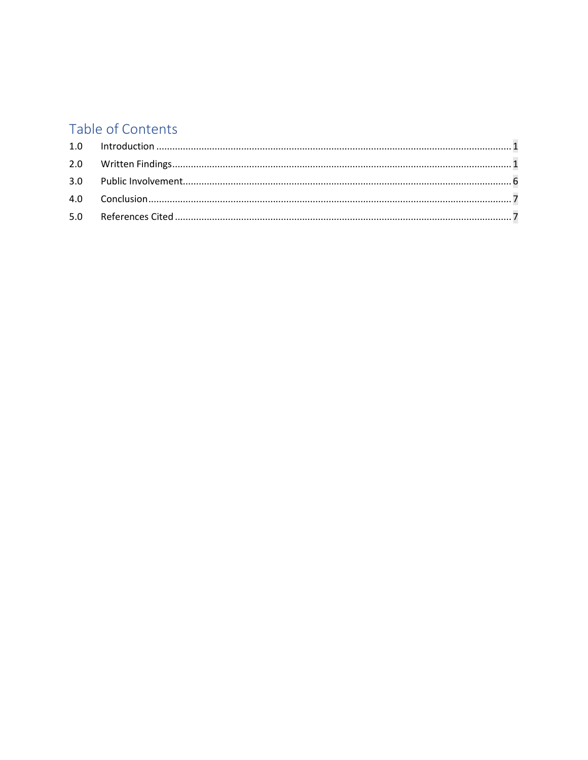# Table of Contents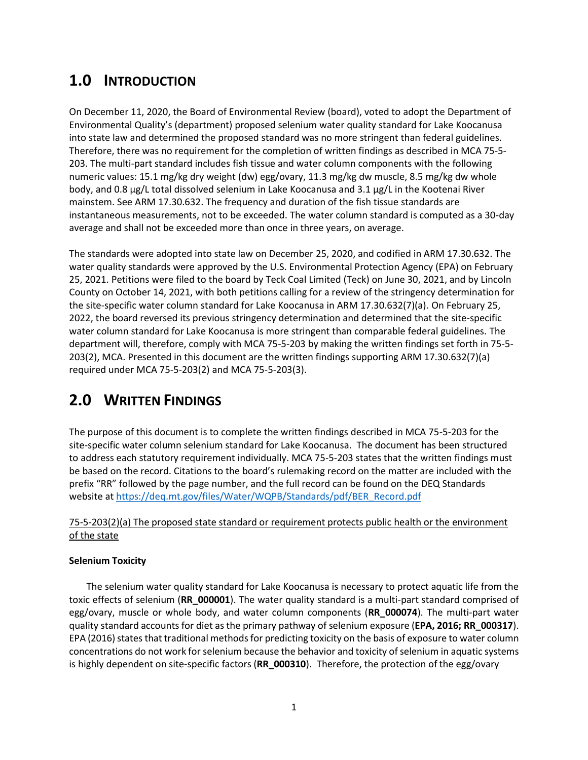## <span id="page-2-0"></span>**1.0 INTRODUCTION**

On December 11, 2020, the Board of Environmental Review (board), voted to adopt the Department of Environmental Quality's (department) proposed selenium water quality standard for Lake Koocanusa into state law and determined the proposed standard was no more stringent than federal guidelines. Therefore, there was no requirement for the completion of written findings as described in MCA 75-5- 203. The multi-part standard includes fish tissue and water column components with the following numeric values: 15.1 mg/kg dry weight (dw) egg/ovary, 11.3 mg/kg dw muscle, 8.5 mg/kg dw whole body, and 0.8 µg/L total dissolved selenium in Lake Koocanusa and 3.1 µg/L in the Kootenai River mainstem. See ARM 17.30.632. The frequency and duration of the fish tissue standards are instantaneous measurements, not to be exceeded. The water column standard is computed as a 30-day average and shall not be exceeded more than once in three years, on average.

The standards were adopted into state law on December 25, 2020, and codified in ARM 17.30.632. The water quality standards were approved by the U.S. Environmental Protection Agency (EPA) on February 25, 2021. Petitions were filed to the board by Teck Coal Limited (Teck) on June 30, 2021, and by Lincoln County on October 14, 2021, with both petitions calling for a review of the stringency determination for the site-specific water column standard for Lake Koocanusa in ARM 17.30.632(7)(a). On February 25, 2022, the board reversed its previous stringency determination and determined that the site-specific water column standard for Lake Koocanusa is more stringent than comparable federal guidelines. The department will, therefore, comply with MCA 75-5-203 by making the written findings set forth in 75-5- 203(2), MCA. Presented in this document are the written findings supporting ARM 17.30.632(7)(a) required under MCA 75-5-203(2) and MCA 75-5-203(3).

## <span id="page-2-1"></span>**2.0 WRITTEN FINDINGS**

The purpose of this document is to complete the written findings described in MCA 75-5-203 for the site-specific water column selenium standard for Lake Koocanusa. The document has been structured to address each statutory requirement individually. MCA 75-5-203 states that the written findings must be based on the record. Citations to the board's rulemaking record on the matter are included with the prefix "RR" followed by the page number, and the full record can be found on the DEQ Standards website at [https://deq.mt.gov/files/Water/WQPB/Standards/pdf/BER\\_Record.pdf](https://deq.mt.gov/files/Water/WQPB/Standards/pdf/BER_Record.pdf)

## 75-5-203(2)(a) The proposed state standard or requirement protects public health or the environment of the state

### **Selenium Toxicity**

The selenium water quality standard for Lake Koocanusa is necessary to protect aquatic life from the toxic effects of selenium (**RR\_000001**). The water quality standard is a multi-part standard comprised of egg/ovary, muscle or whole body, and water column components (**RR\_000074**). The multi-part water quality standard accounts for diet as the primary pathway of selenium exposure (**EPA, 2016; RR\_000317**). EPA (2016) states that traditional methods for predicting toxicity on the basis of exposure to water column concentrations do not work for selenium because the behavior and toxicity of selenium in aquatic systems is highly dependent on site-specific factors (**RR\_000310**). Therefore, the protection of the egg/ovary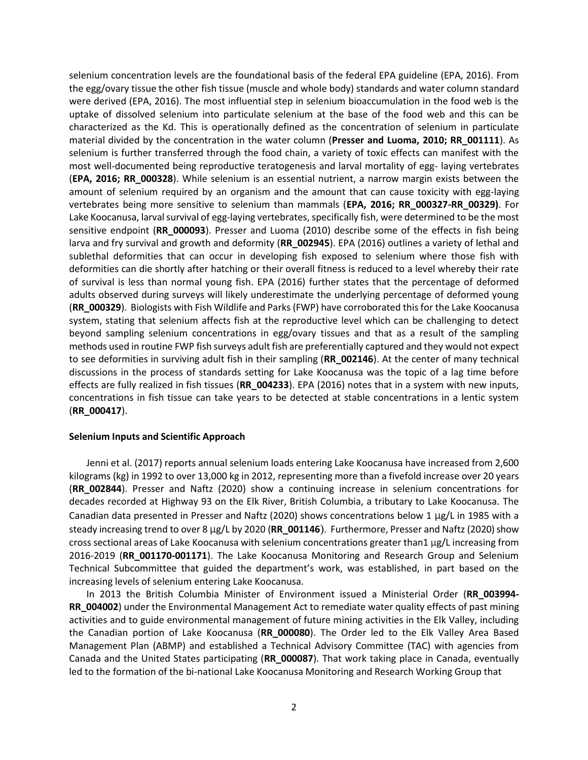selenium concentration levels are the foundational basis of the federal EPA guideline (EPA, 2016). From the egg/ovary tissue the other fish tissue (muscle and whole body) standards and water column standard were derived (EPA, 2016). The most influential step in selenium bioaccumulation in the food web is the uptake of dissolved selenium into particulate selenium at the base of the food web and this can be characterized as the Kd. This is operationally defined as the concentration of selenium in particulate material divided by the concentration in the water column (**Presser and Luoma, 2010; RR\_001111**). As selenium is further transferred through the food chain, a variety of toxic effects can manifest with the most well-documented being reproductive teratogenesis and larval mortality of egg- laying vertebrates (**EPA, 2016; RR\_000328**). While selenium is an essential nutrient, a narrow margin exists between the amount of selenium required by an organism and the amount that can cause toxicity with egg-laying vertebrates being more sensitive to selenium than mammals (**EPA, 2016; RR\_000327-RR\_00329)**. For Lake Koocanusa, larval survival of egg-laying vertebrates, specifically fish, were determined to be the most sensitive endpoint (**RR\_000093**). Presser and Luoma (2010) describe some of the effects in fish being larva and fry survival and growth and deformity (**RR\_002945**). EPA (2016) outlines a variety of lethal and sublethal deformities that can occur in developing fish exposed to selenium where those fish with deformities can die shortly after hatching or their overall fitness is reduced to a level whereby their rate of survival is less than normal young fish. EPA (2016) further states that the percentage of deformed adults observed during surveys will likely underestimate the underlying percentage of deformed young (**RR\_000329**). Biologists with Fish Wildlife and Parks (FWP) have corroborated thisfor the Lake Koocanusa system, stating that selenium affects fish at the reproductive level which can be challenging to detect beyond sampling selenium concentrations in egg/ovary tissues and that as a result of the sampling methods used in routine FWP fish surveys adult fish are preferentially captured and they would not expect to see deformities in surviving adult fish in their sampling (**RR\_002146**). At the center of many technical discussions in the process of standards setting for Lake Koocanusa was the topic of a lag time before effects are fully realized in fish tissues (**RR\_004233**). EPA (2016) notes that in a system with new inputs, concentrations in fish tissue can take years to be detected at stable concentrations in a lentic system (**RR\_000417**).

#### **Selenium Inputs and Scientific Approach**

Jenni et al. (2017) reports annual selenium loads entering Lake Koocanusa have increased from 2,600 kilograms (kg) in 1992 to over 13,000 kg in 2012, representing more than a fivefold increase over 20 years (**RR\_002844**). Presser and Naftz (2020) show a continuing increase in selenium concentrations for decades recorded at Highway 93 on the Elk River, British Columbia, a tributary to Lake Koocanusa. The Canadian data presented in Presser and Naftz (2020) shows concentrations below 1 µg/L in 1985 with a steady increasing trend to over 8 μg/L by 2020 (RR\_001146). Furthermore, Presser and Naftz (2020) show cross sectional areas of Lake Koocanusa with selenium concentrations greater than1  $\mu$ g/L increasing from 2016-2019 (**RR\_001170-001171**). The Lake Koocanusa Monitoring and Research Group and Selenium Technical Subcommittee that guided the department's work, was established, in part based on the increasing levels of selenium entering Lake Koocanusa.

In 2013 the British Columbia Minister of Environment issued a Ministerial Order (**RR\_003994- RR\_004002**) under the Environmental Management Act to remediate water quality effects of past mining activities and to guide environmental management of future mining activities in the Elk Valley, including the Canadian portion of Lake Koocanusa (**RR\_000080**). The Order led to the Elk Valley Area Based Management Plan (ABMP) and established a Technical Advisory Committee (TAC) with agencies from Canada and the United States participating (**RR\_000087**). That work taking place in Canada, eventually led to the formation of the bi-national Lake Koocanusa Monitoring and Research Working Group that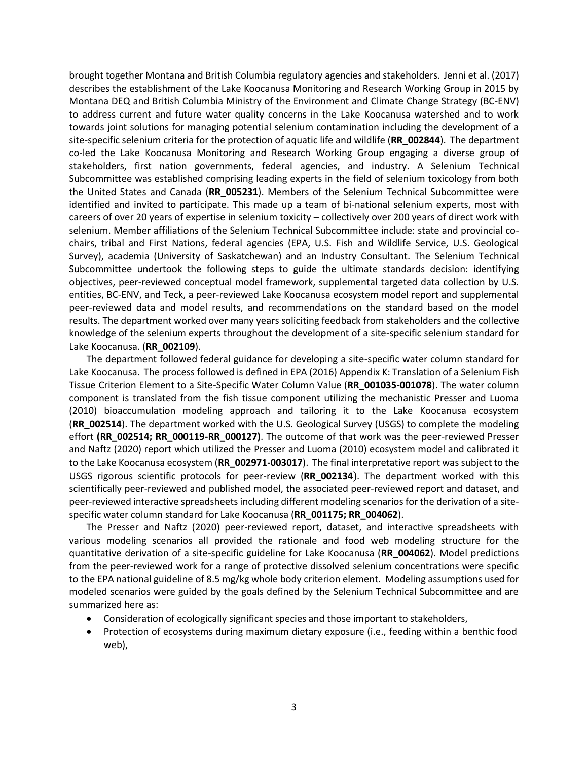brought together Montana and British Columbia regulatory agencies and stakeholders. Jenni et al. (2017) describes the establishment of the Lake Koocanusa Monitoring and Research Working Group in 2015 by Montana DEQ and British Columbia Ministry of the Environment and Climate Change Strategy (BC-ENV) to address current and future water quality concerns in the Lake Koocanusa watershed and to work towards joint solutions for managing potential selenium contamination including the development of a site-specific selenium criteria for the protection of aquatic life and wildlife (**RR\_002844**). The department co-led the Lake Koocanusa Monitoring and Research Working Group engaging a diverse group of stakeholders, first nation governments, federal agencies, and industry. A Selenium Technical Subcommittee was established comprising leading experts in the field of selenium toxicology from both the United States and Canada (**RR\_005231**). Members of the Selenium Technical Subcommittee were identified and invited to participate. This made up a team of bi-national selenium experts, most with careers of over 20 years of expertise in selenium toxicity – collectively over 200 years of direct work with selenium. Member affiliations of the Selenium Technical Subcommittee include: state and provincial cochairs, tribal and First Nations, federal agencies (EPA, U.S. Fish and Wildlife Service, U.S. Geological Survey), academia (University of Saskatchewan) and an Industry Consultant. The Selenium Technical Subcommittee undertook the following steps to guide the ultimate standards decision: identifying objectives, peer-reviewed conceptual model framework, supplemental targeted data collection by U.S. entities, BC-ENV, and Teck, a peer-reviewed Lake Koocanusa ecosystem model report and supplemental peer-reviewed data and model results, and recommendations on the standard based on the model results. The department worked over many years soliciting feedback from stakeholders and the collective knowledge of the selenium experts throughout the development of a site-specific selenium standard for Lake Koocanusa. (**RR\_002109**).

The department followed federal guidance for developing a site-specific water column standard for Lake Koocanusa. The process followed is defined in EPA (2016) Appendix K: Translation of a Selenium Fish Tissue Criterion Element to a Site-Specific Water Column Value (**RR\_001035-001078**). The water column component is translated from the fish tissue component utilizing the mechanistic Presser and Luoma (2010) bioaccumulation modeling approach and tailoring it to the Lake Koocanusa ecosystem (**RR\_002514**). The department worked with the U.S. Geological Survey (USGS) to complete the modeling effort **(RR\_002514; RR\_000119-RR\_000127)**. The outcome of that work was the peer-reviewed Presser and Naftz (2020) report which utilized the Presser and Luoma (2010) ecosystem model and calibrated it to the Lake Koocanusa ecosystem (**RR\_002971-003017**). The final interpretative report was subject to the USGS rigorous scientific protocols for peer-review (**RR\_002134**). The department worked with this scientifically peer-reviewed and published model, the associated peer-reviewed report and dataset, and peer-reviewed interactive spreadsheets including different modeling scenarios for the derivation of a sitespecific water column standard for Lake Koocanusa (**RR\_001175; RR\_004062**).

The Presser and Naftz (2020) peer-reviewed report, dataset, and interactive spreadsheets with various modeling scenarios all provided the rationale and food web modeling structure for the quantitative derivation of a site-specific guideline for Lake Koocanusa (**RR\_004062**). Model predictions from the peer-reviewed work for a range of protective dissolved selenium concentrations were specific to the EPA national guideline of 8.5 mg/kg whole body criterion element. Modeling assumptions used for modeled scenarios were guided by the goals defined by the Selenium Technical Subcommittee and are summarized here as:

- Consideration of ecologically significant species and those important to stakeholders,
- Protection of ecosystems during maximum dietary exposure (i.e., feeding within a benthic food web),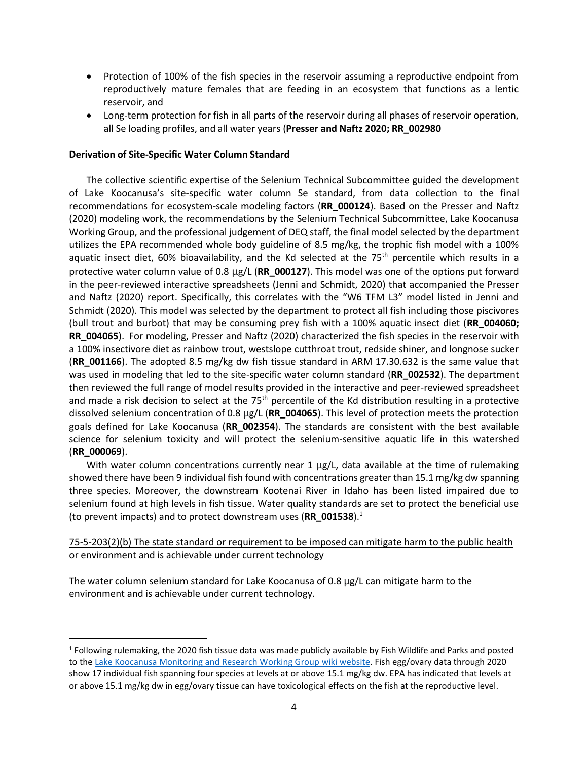- Protection of 100% of the fish species in the reservoir assuming a reproductive endpoint from reproductively mature females that are feeding in an ecosystem that functions as a lentic reservoir, and
- Long-term protection for fish in all parts of the reservoir during all phases of reservoir operation, all Se loading profiles, and all water years (**Presser and Naftz 2020; RR\_002980**

#### **Derivation of Site-Specific Water Column Standard**

The collective scientific expertise of the Selenium Technical Subcommittee guided the development of Lake Koocanusa's site-specific water column Se standard, from data collection to the final recommendations for ecosystem-scale modeling factors (**RR\_000124**). Based on the Presser and Naftz (2020) modeling work, the recommendations by the Selenium Technical Subcommittee, Lake Koocanusa Working Group, and the professional judgement of DEQ staff, the final model selected by the department utilizes the EPA recommended whole body guideline of 8.5 mg/kg, the trophic fish model with a 100% aquatic insect diet, 60% bioavailability, and the Kd selected at the 75<sup>th</sup> percentile which results in a protective water column value of 0.8 µg/L (**RR\_000127**). This model was one of the options put forward in the peer-reviewed interactive spreadsheets (Jenni and Schmidt, 2020) that accompanied the Presser and Naftz (2020) report. Specifically, this correlates with the "W6 TFM L3" model listed in Jenni and Schmidt (2020). This model was selected by the department to protect all fish including those piscivores (bull trout and burbot) that may be consuming prey fish with a 100% aquatic insect diet (**RR\_004060; RR\_004065**). For modeling, Presser and Naftz (2020) characterized the fish species in the reservoir with a 100% insectivore diet as rainbow trout, westslope cutthroat trout, redside shiner, and longnose sucker (**RR\_001166**). The adopted 8.5 mg/kg dw fish tissue standard in ARM 17.30.632 is the same value that was used in modeling that led to the site-specific water column standard (**RR\_002532**). The department then reviewed the full range of model results provided in the interactive and peer-reviewed spreadsheet and made a risk decision to select at the  $75<sup>th</sup>$  percentile of the Kd distribution resulting in a protective dissolved selenium concentration of 0.8 µg/L (**RR\_004065**). This level of protection meets the protection goals defined for Lake Koocanusa (**RR\_002354**). The standards are consistent with the best available science for selenium toxicity and will protect the selenium-sensitive aquatic life in this watershed (**RR\_000069**).

With water column concentrations currently near 1  $\mu$ g/L, data available at the time of rulemaking showed there have been 9 individual fish found with concentrations greater than 15.1 mg/kg dw spanning three species. Moreover, the downstream Kootenai River in Idaho has been listed impaired due to selenium found at high levels in fish tissue. Water quality standards are set to protect the beneficial use (to prevent impacts) and to protect downstream uses (**RR\_001538**).<sup>1</sup>

75-5-203(2)(b) The state standard or requirement to be imposed can mitigate harm to the public health or environment and is achievable under current technology

The water column selenium standard for Lake Koocanusa of 0.8 µg/L can mitigate harm to the environment and is achievable under current technology.

 $^1$  Following rulemaking, the 2020 fish tissue data was made publicly available by Fish Wildlife and Parks and posted to th[e Lake Koocanusa Monitoring and Research Working Group wiki website.](http://lakekoocanusaconservation.pbworks.com/w/file/146891748/FWP_Koocanusa%20Selenium%20Data%20MASTER%202008-2020.xlsx) Fish egg/ovary data through 2020 show 17 individual fish spanning four species at levels at or above 15.1 mg/kg dw. EPA has indicated that levels at or above 15.1 mg/kg dw in egg/ovary tissue can have toxicological effects on the fish at the reproductive level.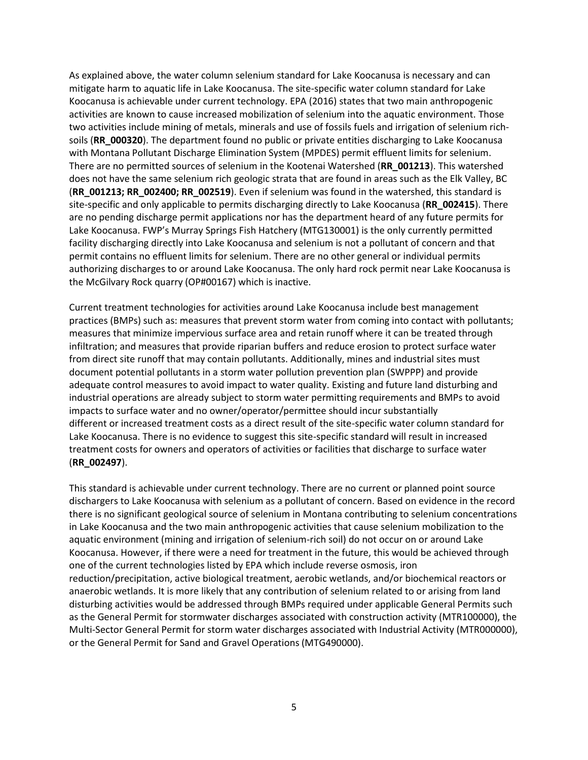As explained above, the water column selenium standard for Lake Koocanusa is necessary and can mitigate harm to aquatic life in Lake Koocanusa. The site-specific water column standard for Lake Koocanusa is achievable under current technology. EPA (2016) states that two main anthropogenic activities are known to cause increased mobilization of selenium into the aquatic environment. Those two activities include mining of metals, minerals and use of fossils fuels and irrigation of selenium richsoils (**RR\_000320**). The department found no public or private entities discharging to Lake Koocanusa with Montana Pollutant Discharge Elimination System (MPDES) permit effluent limits for selenium. There are no permitted sources of selenium in the Kootenai Watershed (**RR\_001213**). This watershed does not have the same selenium rich geologic strata that are found in areas such as the Elk Valley, BC (**RR\_001213; RR\_002400; RR\_002519**). Even if selenium was found in the watershed, this standard is site-specific and only applicable to permits discharging directly to Lake Koocanusa (**RR\_002415**). There are no pending discharge permit applications nor has the department heard of any future permits for Lake Koocanusa. FWP's Murray Springs Fish Hatchery (MTG130001) is the only currently permitted facility discharging directly into Lake Koocanusa and selenium is not a pollutant of concern and that permit contains no effluent limits for selenium. There are no other general or individual permits authorizing discharges to or around Lake Koocanusa. The only hard rock permit near Lake Koocanusa is the McGilvary Rock quarry (OP#00167) which is inactive.

Current treatment technologies for activities around Lake Koocanusa include best management practices (BMPs) such as: measures that prevent storm water from coming into contact with pollutants; measures that minimize impervious surface area and retain runoff where it can be treated through infiltration; and measures that provide riparian buffers and reduce erosion to protect surface water from direct site runoff that may contain pollutants. Additionally, mines and industrial sites must document potential pollutants in a storm water pollution prevention plan (SWPPP) and provide adequate control measures to avoid impact to water quality. Existing and future land disturbing and industrial operations are already subject to storm water permitting requirements and BMPs to avoid impacts to surface water and no owner/operator/permittee should incur substantially different or increased treatment costs as a direct result of the site-specific water column standard for Lake Koocanusa. There is no evidence to suggest this site-specific standard will result in increased treatment costs for owners and operators of activities or facilities that discharge to surface water (**RR\_002497**).

This standard is achievable under current technology. There are no current or planned point source dischargers to Lake Koocanusa with selenium as a pollutant of concern. Based on evidence in the record there is no significant geological source of selenium in Montana contributing to selenium concentrations in Lake Koocanusa and the two main anthropogenic activities that cause selenium mobilization to the aquatic environment (mining and irrigation of selenium-rich soil) do not occur on or around Lake Koocanusa. However, if there were a need for treatment in the future, this would be achieved through one of the current technologies listed by EPA which include reverse osmosis, iron reduction/precipitation, active biological treatment, aerobic wetlands, and/or biochemical reactors or anaerobic wetlands. It is more likely that any contribution of selenium related to or arising from land disturbing activities would be addressed through BMPs required under applicable General Permits such as the General Permit for stormwater discharges associated with construction activity (MTR100000), the Multi-Sector General Permit for storm water discharges associated with Industrial Activity (MTR000000), or the General Permit for Sand and Gravel Operations (MTG490000).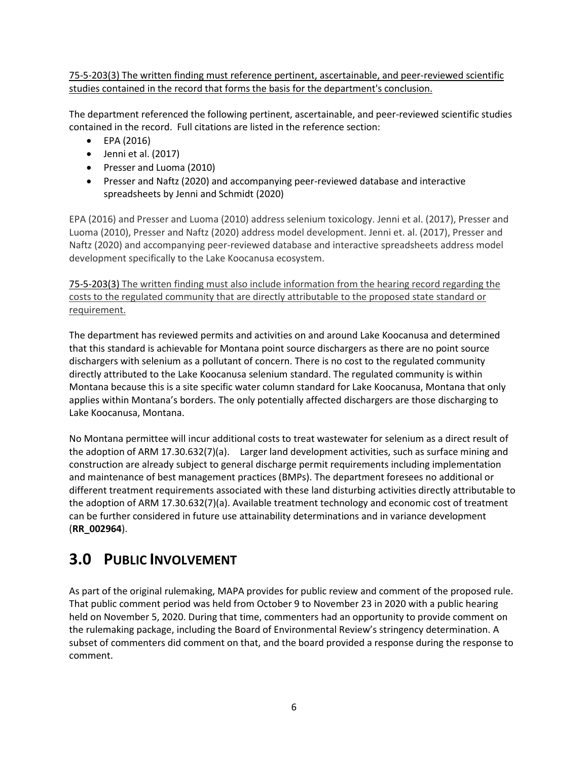75-5-203(3) The written finding must reference pertinent, ascertainable, and peer-reviewed scientific studies contained in the record that forms the basis for the department's conclusion.

The department referenced the following pertinent, ascertainable, and peer-reviewed scientific studies contained in the record. Full citations are listed in the reference section:

- EPA (2016)
- Jenni et al. (2017)
- Presser and Luoma (2010)
- Presser and Naftz (2020) and accompanying peer-reviewed database and interactive spreadsheets by Jenni and Schmidt (2020)

EPA (2016) and Presser and Luoma (2010) address selenium toxicology. Jenni et al. (2017), Presser and Luoma (2010), Presser and Naftz (2020) address model development. Jenni et. al. (2017), Presser and Naftz (2020) and accompanying peer-reviewed database and interactive spreadsheets address model development specifically to the Lake Koocanusa ecosystem.

75-5-203(3) The written finding must also include information from the hearing record regarding the costs to the regulated community that are directly attributable to the proposed state standard or requirement.

The department has reviewed permits and activities on and around Lake Koocanusa and determined that this standard is achievable for Montana point source dischargers as there are no point source dischargers with selenium as a pollutant of concern. There is no cost to the regulated community directly attributed to the Lake Koocanusa selenium standard. The regulated community is within Montana because this is a site specific water column standard for Lake Koocanusa, Montana that only applies within Montana's borders. The only potentially affected dischargers are those discharging to Lake Koocanusa, Montana.

No Montana permittee will incur additional costs to treat wastewater for selenium as a direct result of the adoption of ARM 17.30.632(7)(a). Larger land development activities, such as surface mining and construction are already subject to general discharge permit requirements including implementation and maintenance of best management practices (BMPs). The department foresees no additional or different treatment requirements associated with these land disturbing activities directly attributable to the adoption of ARM 17.30.632(7)(a). Available treatment technology and economic cost of treatment can be further considered in future use attainability determinations and in variance development (**RR\_002964**).

## <span id="page-7-0"></span>**3.0 PUBLIC INVOLVEMENT**

As part of the original rulemaking, MAPA provides for public review and comment of the proposed rule. That public comment period was held from October 9 to November 23 in 2020 with a public hearing held on November 5, 2020. During that time, commenters had an opportunity to provide comment on the rulemaking package, including the Board of Environmental Review's stringency determination. A subset of commenters did comment on that, and the board provided a response during the response to comment.